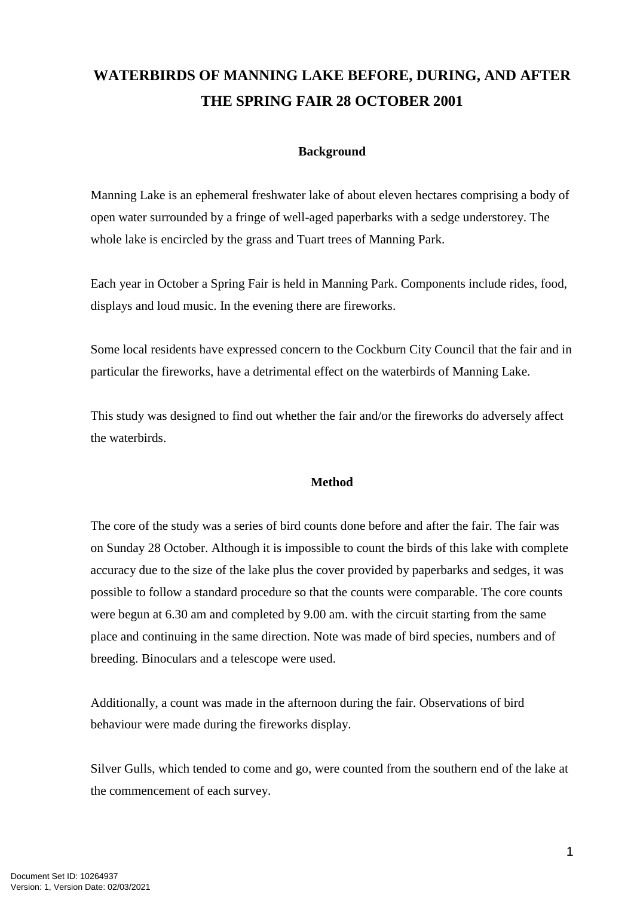# **WATERBIRDS OF MANNING LAKE BEFORE, DURING, AND AFTER THE SPRING FAIR 28 OCTOBER 2001**

# **Background**

Manning Lake is an ephemeral freshwater lake of about eleven hectares comprising a body of open water surrounded by a fringe of well-aged paperbarks with a sedge understorey. The whole lake is encircled by the grass and Tuart trees of Manning Park.

Each year in October a Spring Fair is held in Manning Park. Components include rides, food, displays and loud music. In the evening there are fireworks.

Some local residents have expressed concern to the Cockburn City Council that the fair and in particular the fireworks, have a detrimental effect on the waterbirds of Manning Lake.

This study was designed to find out whether the fair and/or the fireworks do adversely affect the waterbirds.

### **Method**

The core of the study was a series of bird counts done before and after the fair. The fair was on Sunday 28 October. Although it is impossible to count the birds of this lake with complete accuracy due to the size of the lake plus the cover provided by paperbarks and sedges, it was possible to follow a standard procedure so that the counts were comparable. The core counts were begun at 6.30 am and completed by 9.00 am. with the circuit starting from the same place and continuing in the same direction. Note was made of bird species, numbers and of breeding. Binoculars and a telescope were used.

Additionally, a count was made in the afternoon during the fair. Observations of bird behaviour were made during the fireworks display.

Silver Gulls, which tended to come and go, were counted from the southern end of the lake at the commencement of each survey.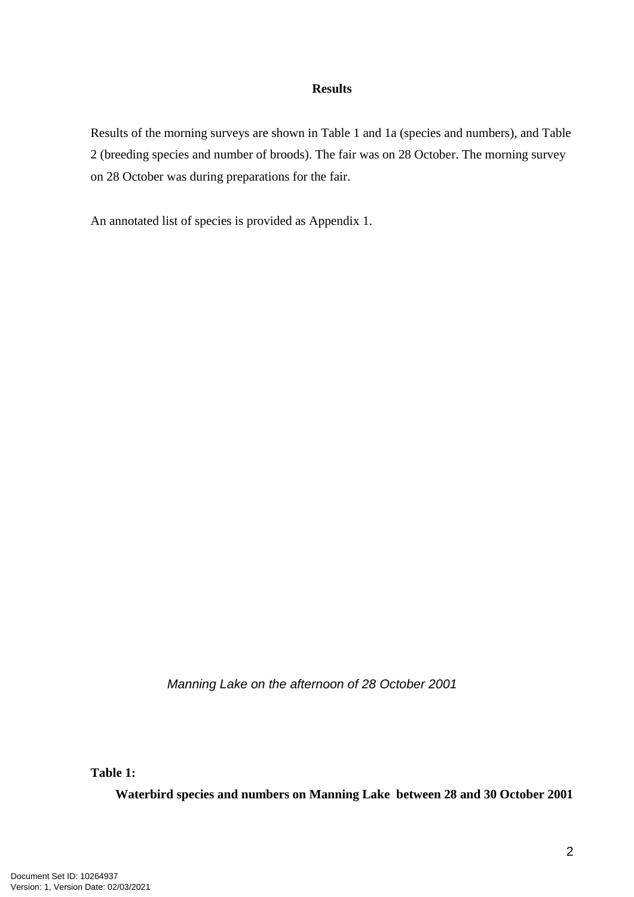## **Results**

Results of the morning surveys are shown in Table 1 and 1a (species and numbers), and Table 2 (breeding species and number of broods). The fair was on 28 October. The morning survey on 28 October was during preparations for the fair.

An annotated list of species is provided as Appendix 1.

*Manning Lake on the afternoon of 28 October 2001*

**Table 1:** 

**Waterbird species and numbers on Manning Lake between 28 and 30 October 2001**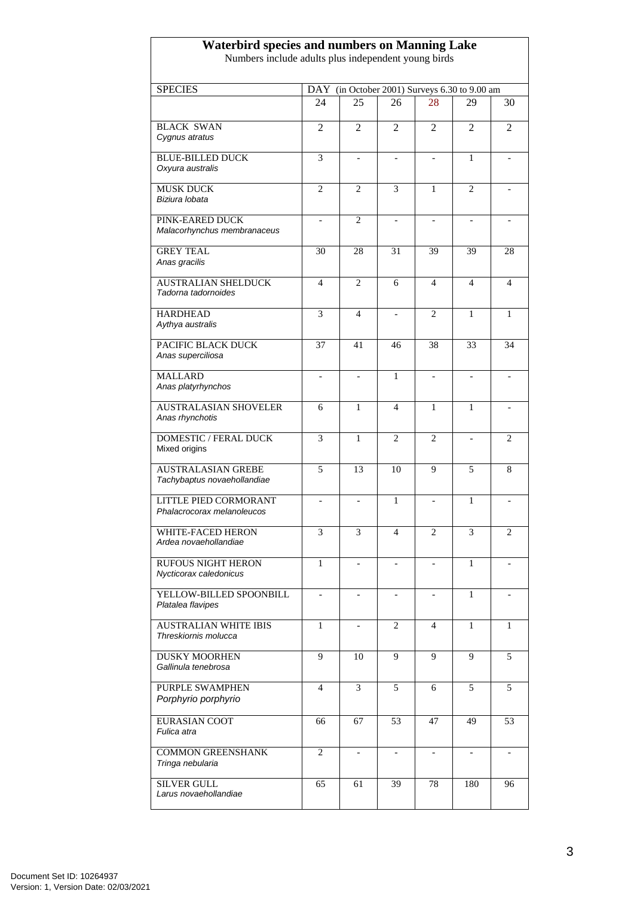#### **Waterbird species and numbers on Manning Lake**

Numbers include adults plus independent young birds

| <b>SPECIES</b>                                           |                          | DAY (in October 2001) Surveys 6.30 to 9.00 am |                          |                              |                          |                |
|----------------------------------------------------------|--------------------------|-----------------------------------------------|--------------------------|------------------------------|--------------------------|----------------|
|                                                          | 24                       | 25                                            | 26                       | 28                           | 29                       | 30             |
|                                                          |                          |                                               |                          |                              |                          |                |
| <b>BLACK SWAN</b><br>Cygnus atratus                      | 2                        | 2                                             | $\overline{2}$           | 2                            | 2                        | $\overline{2}$ |
| <b>BLUE-BILLED DUCK</b><br>Oxyura australis              | 3                        | $\overline{\phantom{a}}$                      | $\overline{a}$           | $\qquad \qquad \blacksquare$ | 1                        |                |
| <b>MUSK DUCK</b><br>Biziura lobata                       | $\overline{2}$           | $\overline{c}$                                | 3                        | 1                            | $\overline{c}$           |                |
| PINK-EARED DUCK<br>Malacorhynchus membranaceus           | $\overline{a}$           | $\overline{2}$                                | $\overline{a}$           |                              | $\overline{a}$           |                |
| <b>GREY TEAL</b><br>Anas gracilis                        | 30                       | 28                                            | 31                       | 39                           | 39                       | 28             |
| <b>AUSTRALIAN SHELDUCK</b><br>Tadorna tadornoides        | 4                        | 2                                             | 6                        | 4                            | 4                        | 4              |
| <b>HARDHEAD</b><br>Aythya australis                      | 3                        | $\overline{4}$                                | $\overline{a}$           | $\overline{2}$               | 1                        | 1              |
| PACIFIC BLACK DUCK<br>Anas superciliosa                  | 37                       | 41                                            | 46                       | 38                           | 33                       | 34             |
| <b>MALLARD</b><br>Anas platyrhynchos                     | $\overline{\phantom{a}}$ |                                               | 1                        |                              | $\overline{\phantom{a}}$ |                |
| <b>AUSTRALASIAN SHOVELER</b><br>Anas rhynchotis          | 6                        | 1                                             | 4                        | 1                            | 1                        |                |
| DOMESTIC / FERAL DUCK<br>Mixed origins                   | 3                        | $\mathbf{1}$                                  | $\overline{2}$           | $\overline{c}$               | $\overline{a}$           | $\overline{2}$ |
| <b>AUSTRALASIAN GREBE</b><br>Tachybaptus novaehollandiae | 5                        | 13                                            | 10                       | 9                            | 5                        | 8              |
| LITTLE PIED CORMORANT<br>Phalacrocorax melanoleucos      |                          |                                               | 1                        |                              | 1                        |                |
| WHITE-FACED HERON<br>Ardea novaehollandiae               | 3                        | 3                                             | $\overline{4}$           | $\overline{2}$               | 3                        | $\overline{2}$ |
| <b>RUFOUS NIGHT HERON</b><br>Nycticorax caledonicus      | 1                        |                                               |                          |                              | 1                        |                |
| YELLOW-BILLED SPOONBILL<br>Platalea flavipes             | $\overline{\phantom{a}}$ | $\overline{\phantom{0}}$                      | $\overline{\phantom{a}}$ | $\overline{\phantom{a}}$     | $\mathbf{1}$             |                |
| <b>AUSTRALIAN WHITE IBIS</b><br>Threskiornis molucca     | 1                        |                                               | 2                        | 4                            | 1                        | 1              |
| <b>DUSKY MOORHEN</b><br>Gallinula tenebrosa              | 9                        | 10                                            | 9                        | 9                            | 9                        | 5              |
| <b>PURPLE SWAMPHEN</b><br>Porphyrio porphyrio            | $\overline{4}$           | 3                                             | 5                        | 6                            | 5                        | 5              |
| <b>EURASIAN COOT</b><br>Fulica atra                      | 66                       | 67                                            | 53                       | 47                           | 49                       | 53             |
| <b>COMMON GREENSHANK</b><br>Tringa nebularia             | $\overline{c}$           | $\overline{\phantom{a}}$                      | $\qquad \qquad -$        | $\qquad \qquad \blacksquare$ | $\overline{\phantom{a}}$ |                |
| <b>SILVER GULL</b><br>Larus novaehollandiae              | 65                       | 61                                            | 39                       | 78                           | 180                      | 96             |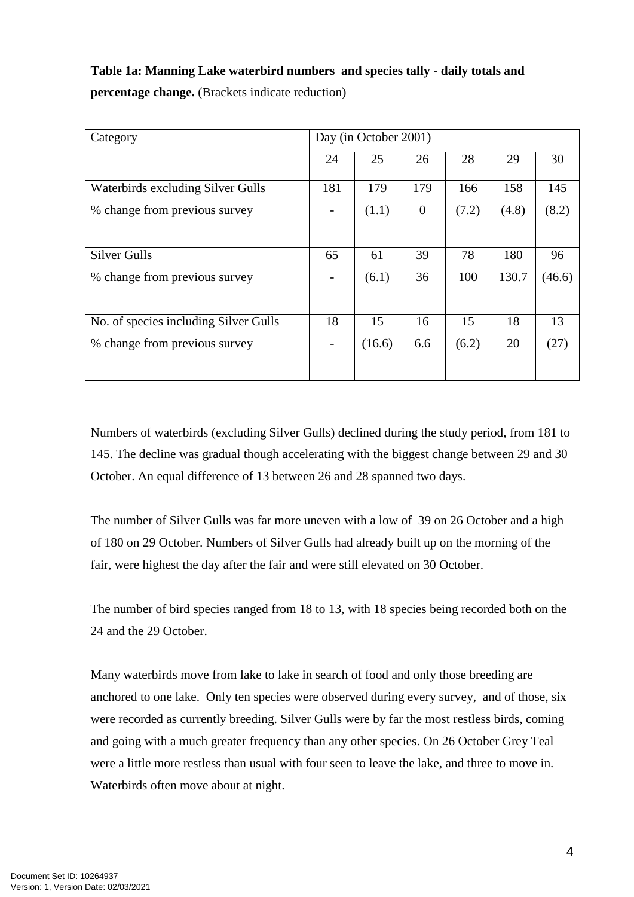# **Table 1a: Manning Lake waterbird numbers and species tally - daily totals and percentage change.** (Brackets indicate reduction)

| Category                              | Day (in October 2001) |        |                  |       |       |        |
|---------------------------------------|-----------------------|--------|------------------|-------|-------|--------|
|                                       | 24                    | 25     | 26               | 28    | 29    | 30     |
| Waterbirds excluding Silver Gulls     | 181                   | 179    | 179              | 166   | 158   | 145    |
| % change from previous survey         |                       | (1.1)  | $\boldsymbol{0}$ | (7.2) | (4.8) | (8.2)  |
|                                       |                       |        |                  |       |       |        |
| <b>Silver Gulls</b>                   | 65                    | 61     | 39               | 78    | 180   | 96     |
| % change from previous survey         |                       | (6.1)  | 36               | 100   | 130.7 | (46.6) |
|                                       |                       |        |                  |       |       |        |
| No. of species including Silver Gulls | 18                    | 15     | 16               | 15    | 18    | 13     |
| % change from previous survey         |                       | (16.6) | 6.6              | (6.2) | 20    | (27)   |
|                                       |                       |        |                  |       |       |        |

Numbers of waterbirds (excluding Silver Gulls) declined during the study period, from 181 to 145. The decline was gradual though accelerating with the biggest change between 29 and 30 October. An equal difference of 13 between 26 and 28 spanned two days.

The number of Silver Gulls was far more uneven with a low of 39 on 26 October and a high of 180 on 29 October. Numbers of Silver Gulls had already built up on the morning of the fair, were highest the day after the fair and were still elevated on 30 October.

The number of bird species ranged from 18 to 13, with 18 species being recorded both on the 24 and the 29 October.

Many waterbirds move from lake to lake in search of food and only those breeding are anchored to one lake. Only ten species were observed during every survey, and of those, six were recorded as currently breeding. Silver Gulls were by far the most restless birds, coming and going with a much greater frequency than any other species. On 26 October Grey Teal were a little more restless than usual with four seen to leave the lake, and three to move in. Waterbirds often move about at night.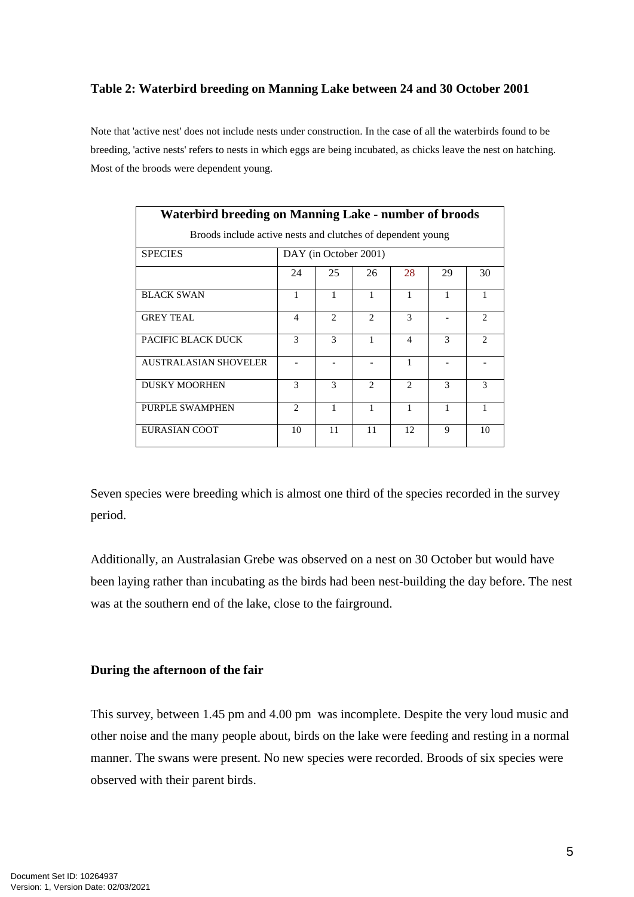## **Table 2: Waterbird breeding on Manning Lake between 24 and 30 October 2001**

Note that 'active nest' does not include nests under construction. In the case of all the waterbirds found to be breeding, 'active nests' refers to nests in which eggs are being incubated, as chicks leave the nest on hatching. Most of the broods were dependent young.

| <b>Waterbird breeding on Manning Lake - number of broods</b> |                          |                |                             |                |    |                               |  |  |
|--------------------------------------------------------------|--------------------------|----------------|-----------------------------|----------------|----|-------------------------------|--|--|
| Broods include active nests and clutches of dependent young  |                          |                |                             |                |    |                               |  |  |
| <b>SPECIES</b>                                               | DAY (in October 2001)    |                |                             |                |    |                               |  |  |
|                                                              | 24                       | 25             | 26                          | 28             | 29 | 30                            |  |  |
| <b>BLACK SWAN</b>                                            | 1                        | 1              | 1                           | 1              | 1  | 1                             |  |  |
| <b>GREY TEAL</b>                                             | $\overline{\mathcal{A}}$ | $\mathfrak{D}$ | $\mathcal{D}_{\mathcal{L}}$ | 3              |    | $\mathfrak{D}_{\mathfrak{p}}$ |  |  |
| PACIFIC BLACK DUCK                                           | $\mathcal{F}$            | 3              | 1                           | $\overline{4}$ | 3  | $\mathcal{D}$                 |  |  |
| AUSTRALASIAN SHOVELER                                        |                          |                |                             | 1              |    |                               |  |  |
| <b>DUSKY MOORHEN</b>                                         | $\mathcal{F}$            | 3              | $\mathfrak{D}$              | $\mathfrak{D}$ | 3  | $\mathbf{3}$                  |  |  |
| PURPLE SWAMPHEN                                              | 2                        | 1              | 1                           | 1              | 1  | $\mathbf{1}$                  |  |  |
| EURASIAN COOT                                                | 10                       | 11             | 11                          | 12             | 9  | 10                            |  |  |

Seven species were breeding which is almost one third of the species recorded in the survey period.

Additionally, an Australasian Grebe was observed on a nest on 30 October but would have been laying rather than incubating as the birds had been nest-building the day before. The nest was at the southern end of the lake, close to the fairground.

### **During the afternoon of the fair**

This survey, between 1.45 pm and 4.00 pm was incomplete. Despite the very loud music and other noise and the many people about, birds on the lake were feeding and resting in a normal manner. The swans were present. No new species were recorded. Broods of six species were observed with their parent birds.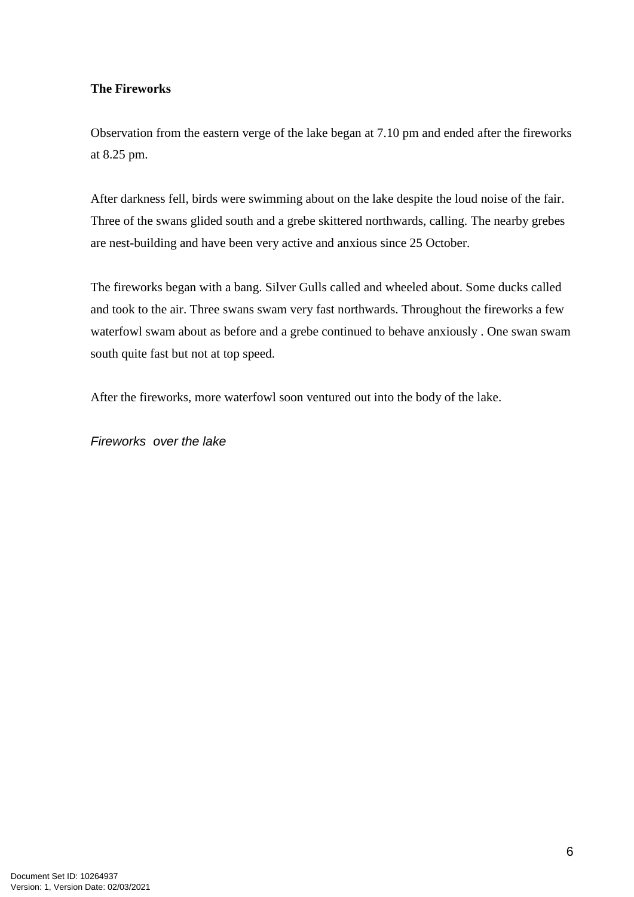# **The Fireworks**

Observation from the eastern verge of the lake began at 7.10 pm and ended after the fireworks at 8.25 pm.

After darkness fell, birds were swimming about on the lake despite the loud noise of the fair. Three of the swans glided south and a grebe skittered northwards, calling. The nearby grebes are nest-building and have been very active and anxious since 25 October.

The fireworks began with a bang. Silver Gulls called and wheeled about. Some ducks called and took to the air. Three swans swam very fast northwards. Throughout the fireworks a few waterfowl swam about as before and a grebe continued to behave anxiously . One swan swam south quite fast but not at top speed.

After the fireworks, more waterfowl soon ventured out into the body of the lake.

*Fireworks over the lake*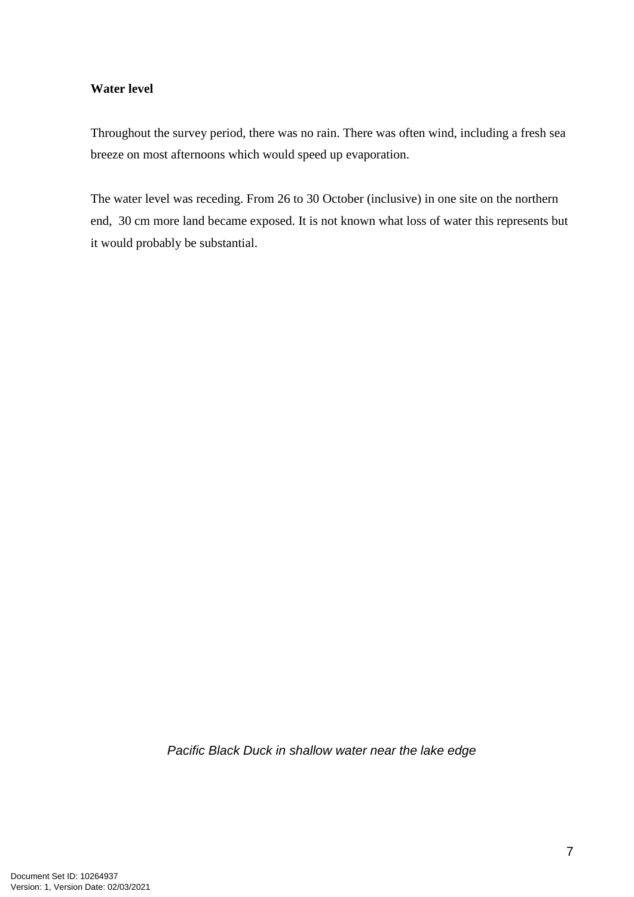# **Water level**

Throughout the survey period, there was no rain. There was often wind, including a fresh sea breeze on most afternoons which would speed up evaporation.

The water level was receding. From 26 to 30 October (inclusive) in one site on the northern end, 30 cm more land became exposed. It is not known what loss of water this represents but it would probably be substantial.

*Pacific Black Duck in shallow water near the lake edge*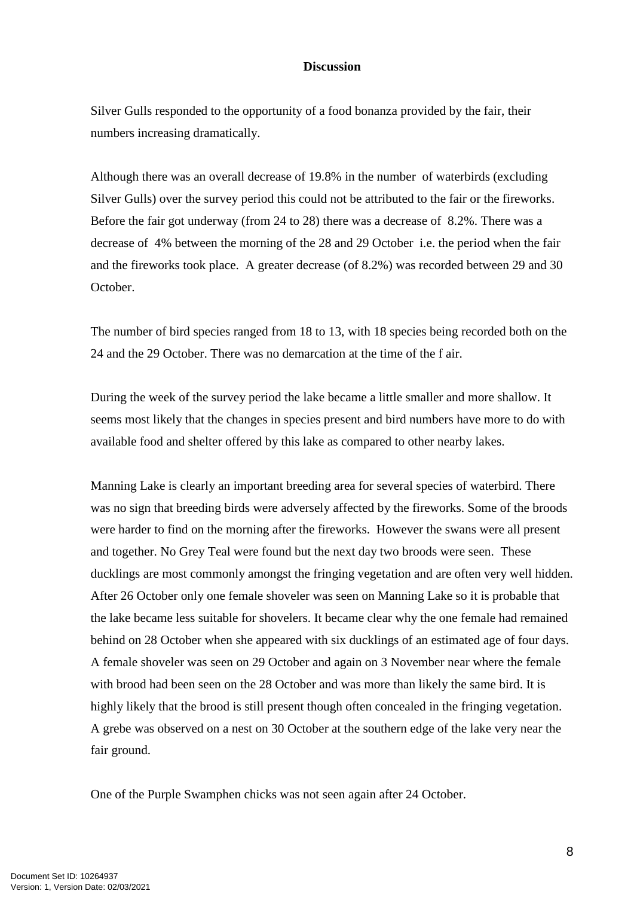#### **Discussion**

Silver Gulls responded to the opportunity of a food bonanza provided by the fair, their numbers increasing dramatically.

Although there was an overall decrease of 19.8% in the number of waterbirds (excluding Silver Gulls) over the survey period this could not be attributed to the fair or the fireworks. Before the fair got underway (from 24 to 28) there was a decrease of 8.2%. There was a decrease of 4% between the morning of the 28 and 29 October i.e. the period when the fair and the fireworks took place. A greater decrease (of 8.2%) was recorded between 29 and 30 October.

The number of bird species ranged from 18 to 13, with 18 species being recorded both on the 24 and the 29 October. There was no demarcation at the time of the f air.

During the week of the survey period the lake became a little smaller and more shallow. It seems most likely that the changes in species present and bird numbers have more to do with available food and shelter offered by this lake as compared to other nearby lakes.

Manning Lake is clearly an important breeding area for several species of waterbird. There was no sign that breeding birds were adversely affected by the fireworks. Some of the broods were harder to find on the morning after the fireworks. However the swans were all present and together. No Grey Teal were found but the next day two broods were seen. These ducklings are most commonly amongst the fringing vegetation and are often very well hidden. After 26 October only one female shoveler was seen on Manning Lake so it is probable that the lake became less suitable for shovelers. It became clear why the one female had remained behind on 28 October when she appeared with six ducklings of an estimated age of four days. A female shoveler was seen on 29 October and again on 3 November near where the female with brood had been seen on the 28 October and was more than likely the same bird. It is highly likely that the brood is still present though often concealed in the fringing vegetation. A grebe was observed on a nest on 30 October at the southern edge of the lake very near the fair ground.

One of the Purple Swamphen chicks was not seen again after 24 October.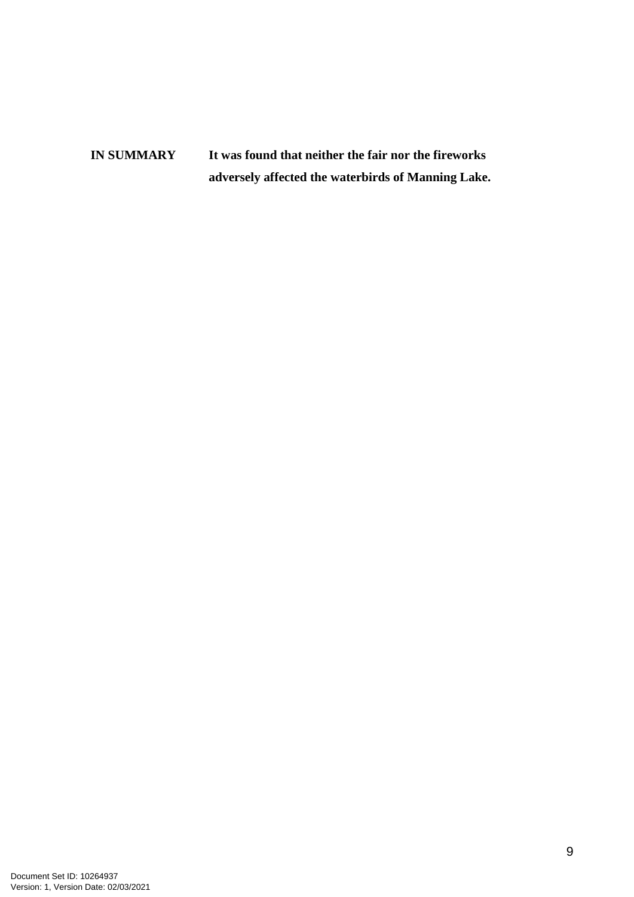**IN SUMMARY It was found that neither the fair nor the fireworks adversely affected the waterbirds of Manning Lake.**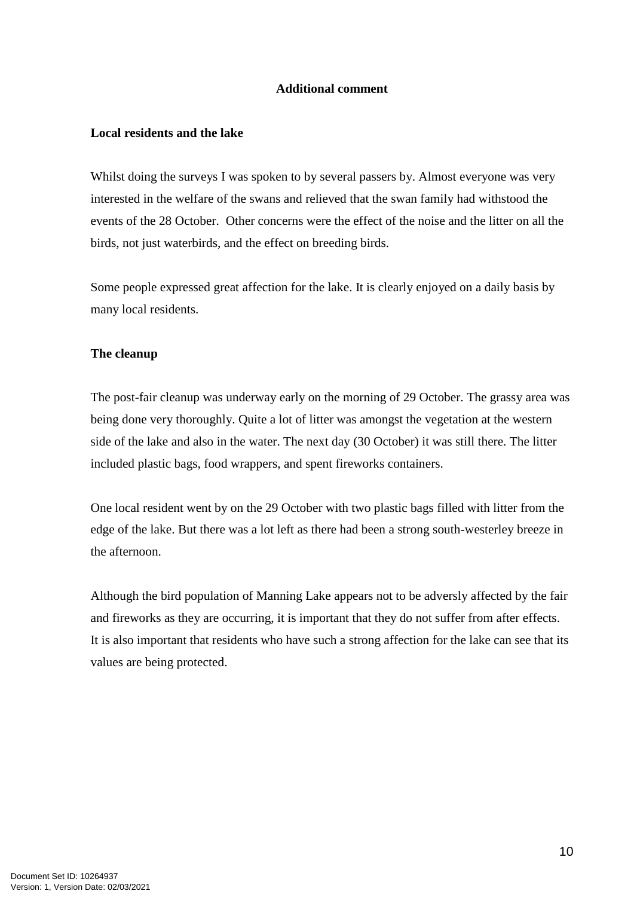## **Additional comment**

# **Local residents and the lake**

Whilst doing the surveys I was spoken to by several passers by. Almost everyone was very interested in the welfare of the swans and relieved that the swan family had withstood the events of the 28 October. Other concerns were the effect of the noise and the litter on all the birds, not just waterbirds, and the effect on breeding birds.

Some people expressed great affection for the lake. It is clearly enjoyed on a daily basis by many local residents.

# **The cleanup**

The post-fair cleanup was underway early on the morning of 29 October. The grassy area was being done very thoroughly. Quite a lot of litter was amongst the vegetation at the western side of the lake and also in the water. The next day (30 October) it was still there. The litter included plastic bags, food wrappers, and spent fireworks containers.

One local resident went by on the 29 October with two plastic bags filled with litter from the edge of the lake. But there was a lot left as there had been a strong south-westerley breeze in the afternoon.

Although the bird population of Manning Lake appears not to be adversly affected by the fair and fireworks as they are occurring, it is important that they do not suffer from after effects. It is also important that residents who have such a strong affection for the lake can see that its values are being protected.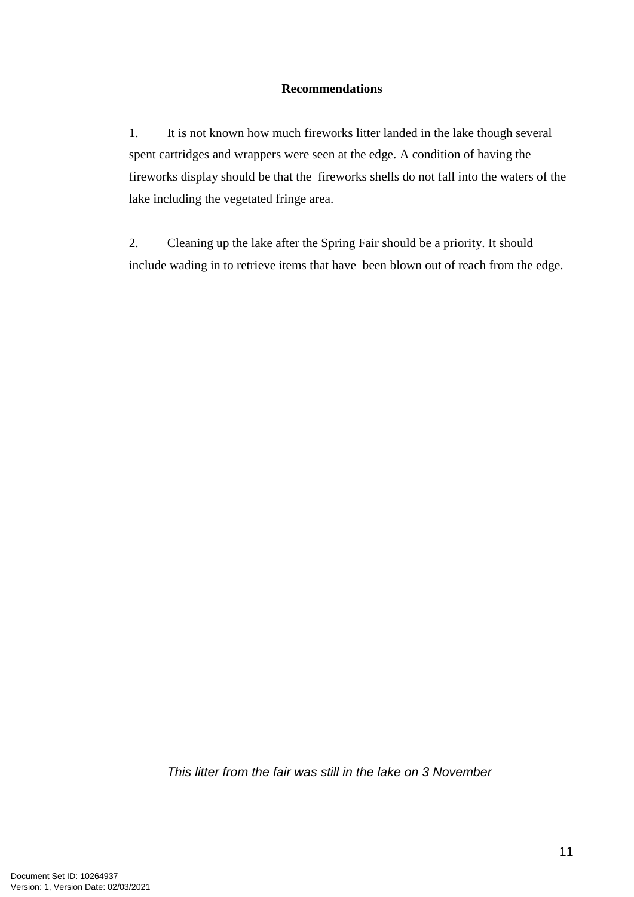# **Recommendations**

1. It is not known how much fireworks litter landed in the lake though several spent cartridges and wrappers were seen at the edge. A condition of having the fireworks display should be that the fireworks shells do not fall into the waters of the lake including the vegetated fringe area.

2. Cleaning up the lake after the Spring Fair should be a priority. It should include wading in to retrieve items that have been blown out of reach from the edge.

*This litter from the fair was still in the lake on 3 November*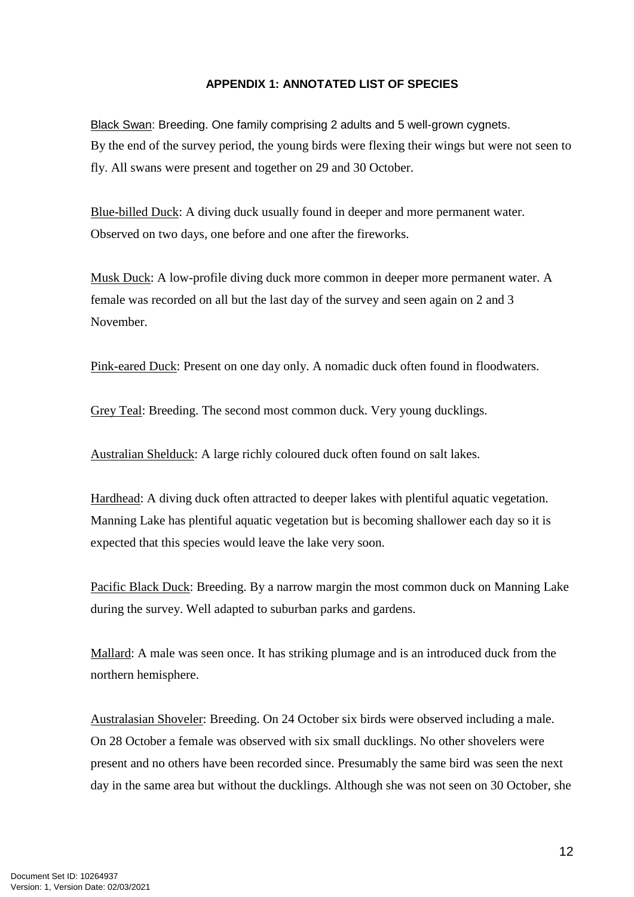## **APPENDIX 1: ANNOTATED LIST OF SPECIES**

Black Swan: Breeding. One family comprising 2 adults and 5 well-grown cygnets. By the end of the survey period, the young birds were flexing their wings but were not seen to fly. All swans were present and together on 29 and 30 October.

Blue-billed Duck: A diving duck usually found in deeper and more permanent water. Observed on two days, one before and one after the fireworks.

Musk Duck: A low-profile diving duck more common in deeper more permanent water. A female was recorded on all but the last day of the survey and seen again on 2 and 3 November.

Pink-eared Duck: Present on one day only. A nomadic duck often found in floodwaters.

Grey Teal: Breeding. The second most common duck. Very young ducklings.

Australian Shelduck: A large richly coloured duck often found on salt lakes.

Hardhead: A diving duck often attracted to deeper lakes with plentiful aquatic vegetation. Manning Lake has plentiful aquatic vegetation but is becoming shallower each day so it is expected that this species would leave the lake very soon.

Pacific Black Duck: Breeding. By a narrow margin the most common duck on Manning Lake during the survey. Well adapted to suburban parks and gardens.

Mallard: A male was seen once. It has striking plumage and is an introduced duck from the northern hemisphere.

Australasian Shoveler: Breeding. On 24 October six birds were observed including a male. On 28 October a female was observed with six small ducklings. No other shovelers were present and no others have been recorded since. Presumably the same bird was seen the next day in the same area but without the ducklings. Although she was not seen on 30 October, she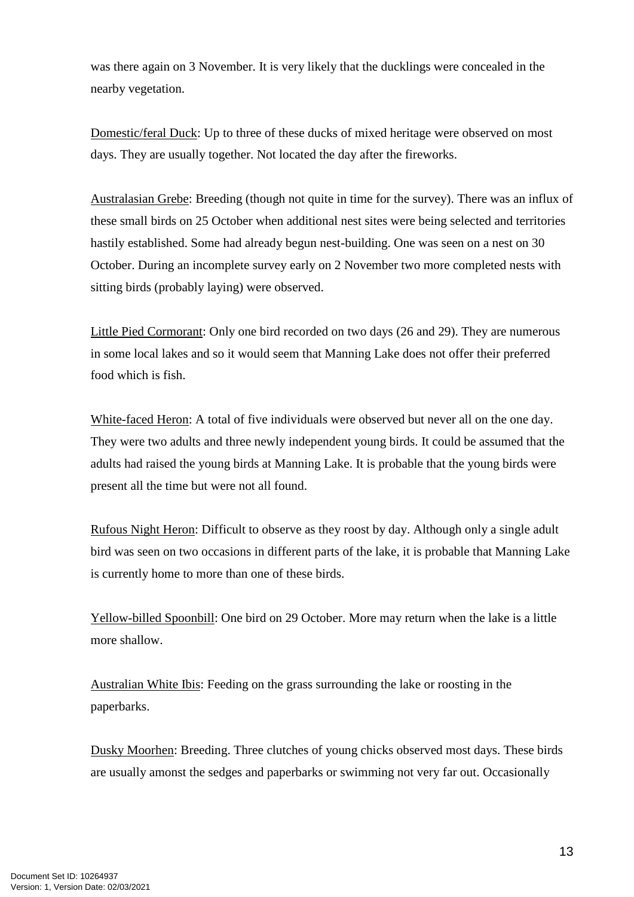was there again on 3 November. It is very likely that the ducklings were concealed in the nearby vegetation.

Domestic/feral Duck: Up to three of these ducks of mixed heritage were observed on most days. They are usually together. Not located the day after the fireworks.

Australasian Grebe: Breeding (though not quite in time for the survey). There was an influx of these small birds on 25 October when additional nest sites were being selected and territories hastily established. Some had already begun nest-building. One was seen on a nest on 30 October. During an incomplete survey early on 2 November two more completed nests with sitting birds (probably laying) were observed.

Little Pied Cormorant: Only one bird recorded on two days (26 and 29). They are numerous in some local lakes and so it would seem that Manning Lake does not offer their preferred food which is fish.

White-faced Heron: A total of five individuals were observed but never all on the one day. They were two adults and three newly independent young birds. It could be assumed that the adults had raised the young birds at Manning Lake. It is probable that the young birds were present all the time but were not all found.

Rufous Night Heron: Difficult to observe as they roost by day. Although only a single adult bird was seen on two occasions in different parts of the lake, it is probable that Manning Lake is currently home to more than one of these birds.

Yellow-billed Spoonbill: One bird on 29 October. More may return when the lake is a little more shallow.

Australian White Ibis: Feeding on the grass surrounding the lake or roosting in the paperbarks.

Dusky Moorhen: Breeding. Three clutches of young chicks observed most days. These birds are usually amonst the sedges and paperbarks or swimming not very far out. Occasionally